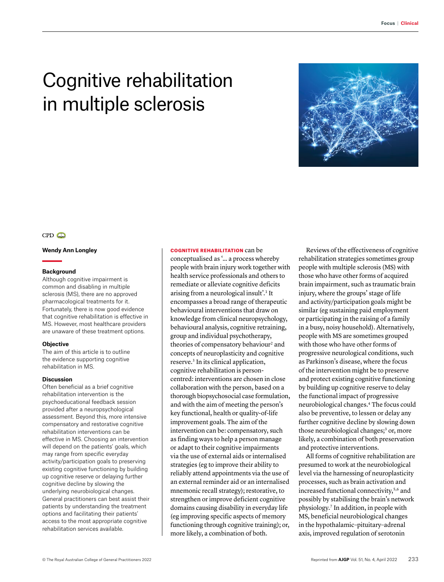# Cognitive rehabilitation in multiple sclerosis



## $CPD$

## **Wendy Ann Longley**

## **Background**

Although cognitive impairment is common and disabling in multiple sclerosis (MS), there are no approved pharmacological treatments for it. Fortunately, there is now good evidence that cognitive rehabilitation is effective in MS. However, most healthcare providers are unaware of these treatment options.

## **Objective**

The aim of this article is to outline the evidence supporting cognitive rehabilitation in MS.

#### **Discussion**

Often beneficial as a brief cognitive rehabilitation intervention is the psychoeducational feedback session provided after a neuropsychological assessment. Beyond this, more intensive compensatory and restorative cognitive rehabilitation interventions can be effective in MS. Choosing an intervention will depend on the patients' goals, which may range from specific everyday activity/participation goals to preserving existing cognitive functioning by building up cognitive reserve or delaying further cognitive decline by slowing the underlying neurobiological changes. General practitioners can best assist their patients by understanding the treatment options and facilitating their patients' access to the most appropriate cognitive rehabilitation services available.

## COGNITIVE REHABILITATION can be

conceptualised as '… a process whereby people with brain injury work together with health service professionals and others to remediate or alleviate cognitive deficits arising from a neurological insult'.1 It encompasses a broad range of therapeutic behavioural interventions that draw on knowledge from clinical neuropsychology, behavioural analysis, cognitive retraining, group and individual psychotherapy, theories of compensatory behaviour<sup>2</sup> and concepts of neuroplasticity and cognitive reserve.3 In its clinical application, cognitive rehabilitation is personcentred: interventions are chosen in close collaboration with the person, based on a thorough biopsychosocial case formulation, and with the aim of meeting the person's key functional, health or quality-of-life improvement goals. The aim of the intervention can be: compensatory, such as finding ways to help a person manage or adapt to their cognitive impairments via the use of external aids or internalised strategies (eg to improve their ability to reliably attend appointments via the use of an external reminder aid or an internalised mnemonic recall strategy); restorative, to strengthen or improve deficient cognitive domains causing disability in everyday life (eg improving specific aspects of memory functioning through cognitive training); or, more likely, a combination of both.

Reviews of the effectiveness of cognitive rehabilitation strategies sometimes group people with multiple sclerosis (MS) with those who have other forms of acquired brain impairment, such as traumatic brain injury, where the groups' stage of life and activity/participation goals might be similar (eg sustaining paid employment or participating in the raising of a family in a busy, noisy household). Alternatively, people with MS are sometimes grouped with those who have other forms of progressive neurological conditions, such as Parkinson's disease, where the focus of the intervention might be to preserve and protect existing cognitive functioning by building up cognitive reserve to delay the functional impact of progressive neurobiological changes.4 The focus could also be preventive, to lessen or delay any further cognitive decline by slowing down those neurobiological changes;<sup>3</sup> or, more likely, a combination of both preservation and protective interventions.

All forms of cognitive rehabilitation are presumed to work at the neurobiological level via the harnessing of neuroplasticity processes, such as brain activation and increased functional connectivity,<sup>5,6</sup> and possibly by stabilising the brain's network physiology.7 In addition, in people with MS, beneficial neurobiological changes in the hypothalamic–pituitary–adrenal axis, improved regulation of serotonin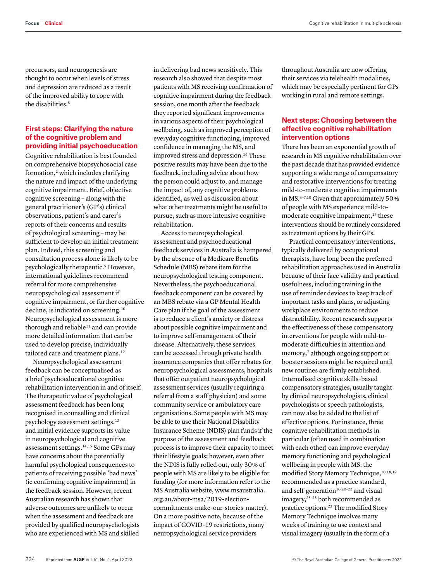precursors, and neurogenesis are thought to occur when levels of stress and depression are reduced as a result of the improved ability to cope with the disabilities.<sup>8</sup>

## **First steps: Clarifying the nature of the cognitive problem and providing initial psychoeducation**

Cognitive rehabilitation is best founded on comprehensive biopsychosocial case formation,<sup>2</sup> which includes clarifying the nature and impact of the underlying cognitive impairment. Brief, objective cognitive screening – along with the general practitioner's (GP's) clinical observations, patient's and carer's reports of their concerns and results of psychological screening – may be sufficient to develop an initial treatment plan. Indeed, this screening and consultation process alone is likely to be psychologically therapeutic.9 However, international guidelines recommend referral for more comprehensive neuropsychological assessment if cognitive impairment, or further cognitive decline, is indicated on screening.10 Neuropsychological assessment is more thorough and reliable<sup>11</sup> and can provide more detailed information that can be used to develop precise, individually tailored care and treatment plans.<sup>12</sup>

Neuropsychological assessment feedback can be conceptualised as a brief psychoeducational cognitive rehabilitation intervention in and of itself. The therapeutic value of psychological assessment feedback has been long recognised in counselling and clinical psychology assessment settings,<sup>13</sup> and initial evidence supports its value in neuropsychological and cognitive assessment settings.14,15 Some GPs may have concerns about the potentially harmful psychological consequences to patients of receiving possible 'bad news' (ie confirming cognitive impairment) in the feedback session. However, recent Australian research has shown that adverse outcomes are unlikely to occur when the assessment and feedback are provided by qualified neuropsychologists who are experienced with MS and skilled

in delivering bad news sensitively. This research also showed that despite most patients with MS receiving confirmation of cognitive impairment during the feedback session, one month after the feedback they reported significant improvements in various aspects of their psychological wellbeing, such as improved perception of everyday cognitive functioning, improved confidence in managing the MS, and improved stress and depression.<sup>16</sup> These positive results may have been due to the feedback, including advice about how the person could adjust to, and manage the impact of, any cognitive problems identified, as well as discussion about what other treatments might be useful to pursue, such as more intensive cognitive rehabilitation.

Access to neuropsychological assessment and psychoeducational feedback services in Australia is hampered by the absence of a Medicare Benefits Schedule (MBS) rebate item for the neuropsychological testing component. Nevertheless, the psychoeducational feedback component can be covered by an MBS rebate via a GP Mental Health Care plan if the goal of the assessment is to reduce a client's anxiety or distress about possible cognitive impairment and to improve self-management of their disease. Alternatively, these services can be accessed through private health insurance companies that offer rebates for neuropsychological assessments, hospitals that offer outpatient neuropsychological assessment services (usually requiring a referral from a staff physician) and some community service or ambulatory care organisations. Some people with MS may be able to use their National Disability Insurance Scheme (NDIS) plan funds if the purpose of the assessment and feedback process is to improve their capacity to meet their lifestyle goals; however, even after the NDIS is fully rolled out, only 30% of people with MS are likely to be eligible for funding (for more information refer to the MS Australia website, [www.msaustralia.](http://www.msaustralia.org.au/about-msa/2019-election-commitments-make-our-stories-matter) [org.au/about-msa/2019-election](http://www.msaustralia.org.au/about-msa/2019-election-commitments-make-our-stories-matter)[commitments-make-our-stories-matter](http://www.msaustralia.org.au/about-msa/2019-election-commitments-make-our-stories-matter)). On a more positive note, because of the impact of COVID-19 restrictions, many neuropsychological service providers

throughout Australia are now offering their services via telehealth modalities, which may be especially pertinent for GPs working in rural and remote settings.

## **Next steps: Choosing between the effective cognitive rehabilitation intervention options**

There has been an exponential growth of research in MS cognitive rehabilitation over the past decade that has provided evidence supporting a wide range of compensatory and restorative interventions for treating mild-to-moderate cognitive impairments in MS.4–7,10 Given that approximately 50% of people with MS experience mild-tomoderate cognitive impairment,<sup>17</sup> these interventions should be routinely considered as treatment options by their GPs.

Practical compensatory interventions, typically delivered by occupational therapists, have long been the preferred rehabilitation approaches used in Australia because of their face validity and practical usefulness, including training in the use of reminder devices to keep track of important tasks and plans, or adjusting workplace environments to reduce distractibility. Recent research supports the effectiveness of these compensatory interventions for people with mild-tomoderate difficulties in attention and memory,<sup>7</sup> although ongoing support or booster sessions might be required until new routines are firmly established. Internalised cognitive skills–based compensatory strategies, usually taught by clinical neuropsychologists, clinical psychologists or speech pathologists, can now also be added to the list of effective options. For instance, three cognitive rehabilitation methods in particular (often used in combination with each other) can improve everyday memory functioning and psychological wellbeing in people with MS: the modified Story Memory Technique, 10,18,19 recommended as a practice standard, and self-generation<sup>10,20-22</sup> and visual imagery,23–25 both recommended as practice options.23 The modified Story Memory Technique involves many weeks of training to use context and visual imagery (usually in the form of a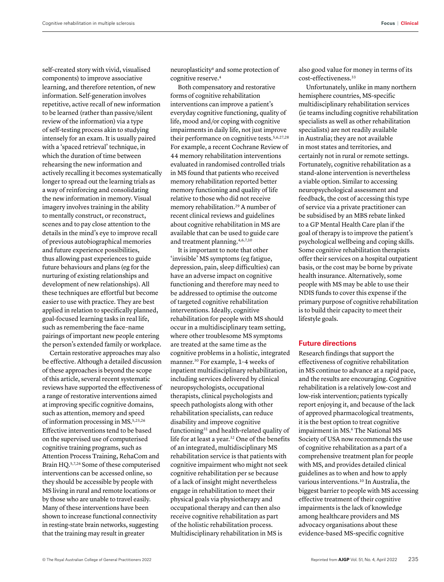self-created story with vivid, visualised components) to improve associative learning, and therefore retention, of new information. Self-generation involves repetitive, active recall of new information to be learned (rather than passive/silent review of the information) via a type of self-testing process akin to studying intensely for an exam. It is usually paired with a 'spaced retrieval' technique, in which the duration of time between rehearsing the new information and actively recalling it becomes systematically longer to spread out the learning trials as a way of reinforcing and consolidating the new information in memory. Visual imagery involves training in the ability to mentally construct, or reconstruct, scenes and to pay close attention to the details in the mind's eye to improve recall of previous autobiographical memories and future experience possibilities, thus allowing past experiences to guide future behaviours and plans (eg for the nurturing of existing relationships and development of new relationships). All these techniques are effortful but become easier to use with practice. They are best applied in relation to specifically planned, goal-focused learning tasks in real life, such as remembering the face–name pairings of important new people entering the person's extended family or workplace.

Certain restorative approaches may also be effective. Although a detailed discussion of these approaches is beyond the scope of this article, several recent systematic reviews have supported the effectiveness of a range of restorative interventions aimed at improving specific cognitive domains, such as attention, memory and speed of information processing in MS.5,23,26 Effective interventions tend to be based on the supervised use of computerised cognitive training programs, such as Attention Process Training, RehaCom and Brain HQ.5,7,26 Some of these computerised interventions can be accessed online, so they should be accessible by people with MS living in rural and remote locations or by those who are unable to travel easily. Many of these interventions have been shown to increase functional connectivity in resting-state brain networks, suggesting that the training may result in greater

neuroplasticity6 and some protection of cognitive reserve.<sup>4</sup>

Both compensatory and restorative forms of cognitive rehabilitation interventions can improve a patient's everyday cognitive functioning, quality of life, mood and/or coping with cognitive impairments in daily life, not just improve their performance on cognitive tests.5,6,27,28 For example, a recent Cochrane Review of 44 memory rehabilitation interventions evaluated in randomised controlled trials in MS found that patients who received memory rehabilitation reported better memory functioning and quality of life relative to those who did not receive memory rehabilitation.29 A number of recent clinical reviews and guidelines about cognitive rehabilitation in MS are available that can be used to guide care and treatment planning.4,6,7,10

It is important to note that other 'invisible' MS symptoms (eg fatigue, depression, pain, sleep difficulties) can have an adverse impact on cognitive functioning and therefore may need to be addressed to optimise the outcome of targeted cognitive rehabilitation interventions. Ideally, cognitive rehabilitation for people with MS should occur in a multidisciplinary team setting, where other troublesome MS symptoms are treated at the same time as the cognitive problems in a holistic, integrated manner.30 For example, 1–4 weeks of inpatient multidisciplinary rehabilitation, including services delivered by clinical neuropsychologists, occupational therapists, clinical psychologists and speech pathologists along with other rehabilitation specialists, can reduce disability and improve cognitive functioning<sup>31</sup> and health-related quality of life for at least a year.32 One of the benefits of an integrated, multidisciplinary MS rehabilitation service is that patients with cognitive impairment who might not seek cognitive rehabilitation per se because of a lack of insight might nevertheless engage in rehabilitation to meet their physical goals via physiotherapy and occupational therapy and can then also receive cognitive rehabilitation as part of the holistic rehabilitation process. Multidisciplinary rehabilitation in MS is

also good value for money in terms of its cost-effectiveness.33

Unfortunately, unlike in many northern hemisphere countries, MS-specific multidisciplinary rehabilitation services (ie teams including cognitive rehabilitation specialists as well as other rehabilitation specialists) are not readily available in Australia; they are not available in most states and territories, and certainly not in rural or remote settings. Fortunately, cognitive rehabilitation as a stand-alone intervention is nevertheless a viable option. Similar to accessing neuropsychological assessment and feedback, the cost of accessing this type of service via a private practitioner can be subsidised by an MBS rebate linked to a GP Mental Health Care plan if the goal of therapy is to improve the patient's psychological wellbeing and coping skills. Some cognitive rehabilitation therapists offer their services on a hospital outpatient basis, or the cost may be borne by private health insurance. Alternatively, some people with MS may be able to use their NDIS funds to cover this expense if the primary purpose of cognitive rehabilitation is to build their capacity to meet their lifestyle goals.

## **Future directions**

Research findings that support the effectiveness of cognitive rehabilitation in MS continue to advance at a rapid pace, and the results are encouraging. Cognitive rehabilitation is a relatively low-cost and low-risk intervention; patients typically report enjoying it, and because of the lack of approved pharmacological treatments, it is the best option to treat cognitive impairment in MS.<sup>6</sup> The National MS Society of USA now recommends the use of cognitive rehabilitation as a part of a comprehensive treatment plan for people with MS, and provides detailed clinical guidelines as to when and how to apply various interventions.<sup>10</sup> In Australia, the biggest barrier to people with MS accessing effective treatment of their cognitive impairments is the lack of knowledge among healthcare providers and MS advocacy organisations about these evidence-based MS-specific cognitive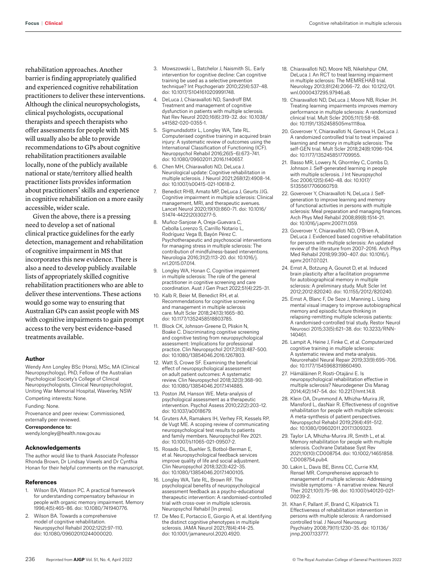**Focus** | **Clinical** Cognitive rehabilitation in multiple sclerosis

rehabilitation approaches. Another barrier is finding appropriately qualified and experienced cognitive rehabilitation practitioners to deliver these interventions. Although the clinical neuropsychologists, clinical psychologists, occupational therapists and speech therapists who offer assessments for people with MS will usually also be able to provide recommendations to GPs about cognitive rehabilitation practitioners available locally, none of the publicly available national or state/territory allied health practitioner lists provides information about practitioners' skills and experience in cognitive rehabilitation on a more easily accessible, wider scale.

Given the above, there is a pressing need to develop a set of national clinical practice guidelines for the early detection, management and rehabilitation of cognitive impairment in MS that incorporates this new evidence. There is also a need to develop publicly available lists of appropriately skilled cognitive rehabilitation practitioners who are able to deliver these interventions. These actions would go some way to ensuring that Australian GPs can assist people with MS with cognitive impairments to gain prompt access to the very best evidence-based treatments available.

## **Author**

Wendy Ann Longley BSc (Hons), MSc, MA (Clinical Neuropsychology), PhD, Fellow of the Australian Psychological Society's College of Clinical Neuropsychologists, Clinical Neuropsychologist, Uniting War Memorial Hospital, Waverley, NSW Competing interests: None.

Funding: None.

Provenance and peer review: Commissioned, externally peer reviewed.

Correspondence to:

wendy.longley@health.nsw.gov.au

#### **Acknowledgements**

The author would like to thank Associate Professor Rhonda Brown, Dr Lindsay Vowels and Dr Cynthia Honan for their helpful comments on the manuscript.

#### **References**

- 1. Wilson BA, Watson PC. A practical framework for understanding compensatory behaviour in people with organic memory impairment. Memory 1996;4(5):465–86. doi: 10.1080/741940776.
- 2. Wilson BA. Towards a comprehensive model of cognitive rehabilitation. Neuropsychol Rehabil 2002;12(2):97–110. doi: 10.1080/09602010244000020.
- 3. Mowszowski L, Batchelor J, Naismith SL. Early intervention for cognitive decline: Can cognitive training be used as a selective prevention technique? Int Psychogeriatr 2010;22(4):537–48. doi: 10.1017/S1041610209991748.
- DeLuca J, Chiaravalloti ND, Sandroff BM. Treatment and management of cognitive dysfunction in patients with multiple sclerosis. Nat Rev Neurol 2020;16(6):319–32. doi: 10.1038/ s41582-020-0355-1.
- 5. Sigmundsdottir L, Longley WA, Tate RL. Computerised cognitive training in acquired brain injury: A systematic review of outcomes using the International Classification of Functioning (ICF). Neuropsychol Rehabil 2016;26(5–6):673–741. doi: 10.1080/09602011.2016.1140657.
- 6. Chen MH, Chiaravalloti ND, DeLuca J. Neurological update: Cognitive rehabilitation in multiple sclerosis. J Neurol 2021;268(12):4908–14. doi: 10.1007/s00415-021-10618-2.
- 7. Benedict RHB, Amato MP, DeLuca J, Geurts JJG. Cognitive impairment in multiple sclerosis: Clinical management, MRI, and therapeutic avenues. Lancet Neurol 2020;19(10):860–71. doi: 10.1016/ S1474-4422(20)30277-5.
- 8. Muñoz-Sanjose A, Oreja-Guevara C, Cebolla Lorenzo S, Carrillo Notario L, Rodríguez Vega B, Bayón Pérez C. Psychotherapeutic and psychosocial interventions for managing stress in multiple sclerosis: The contribution of mindfulness-based interventions. Neurologia 2016;31(2):113–20. doi: 10.1016/j. nrl.2015.07.014.
- 9. Longley WA, Honan C. Cognitive impairment in multiple sclerosis: The role of the general practitioner in cognitive screening and care coordination. Aust J Gen Pract 2022;51(4):225–31.
- 10. Kalb R, Beier M, Benedict RH, et al. Recommendations for cognitive screening and management in multiple sclerosis care. Mult Scler 2018;24(13):1665–80. doi: 10.1177/1352458518803785.
- 11. Block CK, Johnson-Greene D, Pliskin N, Boake C. Discriminating cognitive screening and cognitive testing from neuropsychological assessment: Implications for professional practice. Clin Neuropsychol 2017;31(3):487–500. doi: 10.1080/13854046.2016.1267803.
- 12. Watt S, Crowe SF. Examining the beneficial effect of neuropsychological assessment on adult patient outcomes: A systematic review. Clin Neuropsychol 2018;32(3):368–90. doi: 10.1080/13854046.2017.1414885.
- 13. Poston JM, Hanson WE. Meta-analysis of psychological assessment as a therapeutic intervention. Psychol Assess 2010;22(2):203–12. doi: 10.1037/a0018679.
- 14. Gruters AA, Ramakers IH, Verhey FR, Kessels RP, de Vugt ME. A scoping review of communicating neuropsychological test results to patients and family members. Neuropsychol Rev 2021. doi: 10.1007/s11065-021-09507-2.
- 15. Rosado DL, Buehler S, Botbol-Berman E, et al. Neuropsychological feedback services improve quality of life and social adjustment. Clin Neuropsychol 2018;32(3):422–35. doi: 10.1080/13854046.2017.1400105.
- 16. Longley WA, Tate RL, Brown RF. The psychological benefits of neuropsychological assessment feedback as a psycho-educational therapeutic intervention: A randomised-controlled trial with cross-over in multiple sclerosis. Neuropsychol Rehabil [In press].
- 17. De Meo E, Portaccio E, Giorgio A, et al. Identifying the distinct cognitive phenotypes in multiple sclerosis. JAMA Neurol 2021;78(4):414–25. doi: 10.1001/jamaneurol.2020.4920.
- 18. Chiaravalloti ND, Moore NB, Nikelshpur OM, DeLuca J. An RCT to treat learning impairment in multiple sclerosis: The MEMREHAB trial. Neurology 2013;81(24):2066–72. doi: 10.1212/01. wnl.0000437295.97946.a8.
- 19. Chiaravalloti ND, DeLuca J, Moore NB, Ricker JH. Treating learning impairments improves memory performance in multiple sclerosis: A randomized clinical trial. Mult Scler 2005;11(1):58–68. doi: 10.1191/1352458505ms1118oa.
- 20. Goverover Y, Chiaravalloti N, Genova H, DeLuca J. A randomized controlled trial to treat impaired learning and memory in multiple sclerosis: The self-GEN trial. Mult Scler 2018;24(8):1096–104. doi: 10.1177/1352458517709955.
- 21. Basso MR, Lowery N, Ghormley C, Combs D, Johnson J. Self-generated learning in people with multiple sclerosis. J Int Neuropsychol Soc 2006;12(5):640–48. doi: 10.1017/ S1355617706060759.
- 22. Goverover Y, Chiaravalloti N, DeLuca J. Selfgeneration to improve learning and memory of functional activities in persons with multiple sclerosis: Meal preparation and managing finances. Arch Phys Med Rehabil 2008;89(8):1514–21. doi: 10.1016/j.apmr.2007.11.059.
- 23. Goverover Y, Chiaravalloti ND, O'Brien A, DeLuca J. Evidenced based cognitive rehabilitation for persons with multiple sclerosis: An updated review of the literature from 2007–2016. Arch Phys Med Rehabil 2018;99:390–407. doi: 10.1016/j. apmr.2017.07.021.
- 24. Ernst A, Botzung A, Gounot D, et al. Induced brain plasticity after a facilitation programme for autobiographical memory in multiple sclerosis: A preliminary study. Mult Scler Int 2012;2012:820240. doi: 10.1155/2012/820240.
- 25. Ernst A, Blanc F, De Seze J, Manning L. Using mental visual imagery to improve autobiographical memory and episodic future thinking in relapsing-remitting multiple sclerosis patients: A randomised-controlled trial study. Restor Neurol Neurosci 2015;33(5):621–38. doi: 10.3233/RNN-140461.
- 26. Lampit A, Heine J, Finke C, et al. Computerized cognitive training in multiple sclerosis: A systematic review and meta-analysis. Neurorehabil Neural Repair 2019;33(9):695–706. doi: 10.1177/1545968319860490.
- 27. Hämäläinen P, Rosti-Otajärvi E. Is neuropsychological rehabilitation effective in multiple sclerosis? Neurodegener Dis Manag 2014;4(2):147–54. doi: 10.2217/nmt.14.8.
- 28. Klein OA, Drummond A, Mhizha-Murira JR, Mansford L, dasNair R. Effectiveness of cognitive rehabilitation for people with multiple sclerosis: A meta-synthesis of patient perspectives. Neuropsychol Rehabil 2019;29(4):491–512. doi: 10.1080/09602011.2017.1309323.
- 29. Taylor LA, Mhizha-Murira JR, Smith L, et al. Memory rehabilitation for people with multiple sclerosis. Cochrane Database Syst Rev 2021;10(10):CD008754. doi: 10.1002/14651858. CD008754.pub4.
- 30. Lakin L, Davis BE, Binns CC, Currie KM, Rensel MR. Comprehensive approach to management of multiple sclerosis: Addressing invisible symptoms – A narrative review. Neurol Ther 2021;10(1):75–98. doi: 10.1007/s40120-021- 00239-2.
- 31. Khan F, Pallant JF, Brand C, Kilpatrick TJ. Effectiveness of rehabilitation intervention in persons with multiple sclerosis: A randomised controlled trial. J Neurol Neurosurg Psychiatry 2008;79(11):1230–35. doi: 10.1136/ jnnp.2007.133777.